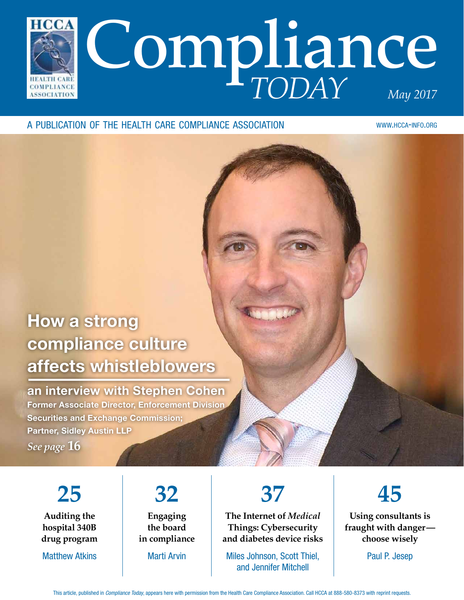

#### a publication of the health care compliance association

www.hcca-info.org

### How a strong compliance culture affects whistleblowers

an interview with Stephen Cohen Former Associate Director, Enforcement Division Securities and Exchange Commission; Partner, Sidley Austin LLP

*See page* **16**

**25 Auditing the hospital 340B drug program**

Matthew Atkins

#### **32 Engaging the board in compliance**

Marti Arvin

## **37**

**The Internet of** *Medical* **Things: Cybersecurity and diabetes device risks**

Miles Johnson, Scott Thiel, and Jennifer Mitchell



**Using consultants is fraught with danger choose wisely**

Paul P. Jesep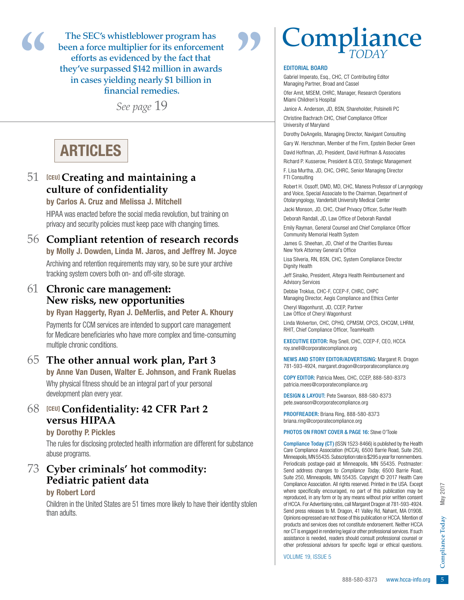The SEC's whistleblower program has been a force multiplier for its enforcement efforts as evidenced by the fact that they've surpassed \$142 million in awards in cases yielding nearly \$1 billion in financial remedies. **Example 18 been a force multiplier for its enforcement<br>efforts as evidenced by the fact that<br>they've surpassed \$142 million in awards<br>in cases yielding nearly \$1 billion in<br>financial remedies.** 

*See page* 19

### ARTICLES

#### 51 [CEU] **Creating and maintaining a culture of confidentiality**

#### by Carlos A. Cruz and Melissa J. Mitchell

HIPAA was enacted before the social media revolution, but training on privacy and security policies must keep pace with changing times.

#### 56 **Compliant retention of research records**

by Molly J. Dowden, Linda M. Jaros, and Jeffrey M. Joyce Archiving and retention requirements may vary, so be sure your archive tracking system covers both on- and off-site storage.

#### 61 **Chronic care management: New risks, new opportunities**

#### by Ryan Haggerty, Ryan J. DeMerlis, and Peter A. Khoury

Payments for CCM services are intended to support care management for Medicare beneficiaries who have more complex and time-consuming multiple chronic conditions.

#### 65 **The other annual work plan, Part 3**

by Anne Van Dusen, Walter E. Johnson, and Frank Ruelas Why physical fitness should be an integral part of your personal development plan every year.

#### 68 [CEU] **Confidentiality: 42 CFR Part 2 versus HIPAA**

#### by Dorothy P. Pickles

The rules for disclosing protected health information are different for substance abuse programs.

#### 73 **Cyber criminals' hot commodity: Pediatric patient data**

#### by Robert Lord

Children in the United States are 51 times more likely to have their identity stolen than adults.

# **Compliance**

#### EDITORIAL BOARD

Gabriel Imperato, Esq., CHC, CT Contributing Editor Managing Partner, Broad and Cassel

Ofer Amit, MSEM, CHRC, Manager, Research Operations Miami Children's Hospital

Janice A. Anderson, JD, BSN, Shareholder, Polsinelli PC

Christine Bachrach CHC, Chief Compliance Officer University of Maryland

Dorothy DeAngelis, Managing Director, Navigant Consulting Gary W. Herschman, Member of the Firm, Epstein Becker Green

David Hoffman, JD, President, David Hoffman & Associates

Richard P. Kusserow, President & CEO, Strategic Management F. Lisa Murtha, JD, CHC, CHRC, Senior Managing Director FTI Consulting

Robert H. Ossoff, DMD, MD, CHC, Maness Professor of Laryngology and Voice, Special Associate to the Chairman, Department of Otolaryngology, Vanderbilt University Medical Center

Jacki Monson, JD, CHC, Chief Privacy Officer, Sutter Health

Deborah Randall, JD, Law Office of Deborah Randall

Emily Rayman, General Counsel and Chief Compliance Officer Community Memorial Health System

James G. Sheehan, JD, Chief of the Charities Bureau New York Attorney General's Office

Lisa Silveria, RN, BSN, CHC, System Compliance Director Dignity Health

Jeff Sinaiko, President, Altegra Health Reimbursement and Advisory Services

Debbie Troklus, CHC-F, CCEP-F, CHRC, CHPC Managing Director, Aegis Compliance and Ethics Center

Cheryl Wagonhurst, JD, CCEP, Partner Law Office of Cheryl Wagonhurst

Linda Wolverton, CHC, CPHQ, CPMSM, CPCS, CHCQM, LHRM, RHIT, Chief Compliance Officer, TeamHealth

EXECUTIVE EDITOR: Roy Snell, CHC, CCEP-F, CEO, HCCA roy.snell@corporatecompliance.org

NEWS AND STORY EDITOR/ADVERTISING: Margaret R. Dragon 781-593-4924, margaret.dragon@corporatecompliance.org

COPY EDITOR: Patricia Mees, CHC, CCEP, 888-580-8373 patricia.mees@corporatecompliance.org

DESIGN & LAYOUT: Pete Swanson, 888-580-8373 pete.swanson@corporatecompliance.org

PROOFREADER: Briana Ring, 888-580-8373 briana.ring@corporatecompliance.org

PHOTOS ON FRONT COVER & PAGE 16: Steve O'Toole

rights reserved. Printed in the USA. Except<br>ed, no part of this publication may be<br>any means without prior written consent<br>s, call Margaret Dragon at 781-593-4924.<br>Fagon, 41 Valley Rd, Nahant, MA 01908.<br>Sose of this publi Compliance Today (CT) (ISSN 1523-8466) is published by the Health Care Compliance Association (HCCA), 6500 Barrie Road, Suite 250, Minneapolis, MN 55435. Subscription rate is \$295 a year for nonmembers. Periodicals postage-paid at Minneapolis, MN 55435. Postmaster: Send address changes to *Compliance Today*, 6500 Barrie Road, Suite 250, Minneapolis, MN 55435. Copyright © 2017 Health Care Compliance Association. All rights reserved. Printed in the USA. Except where specifically encouraged, no part of this publication may be reproduced, in any form or by any means without prior written consent of HCCA. For Advertising rates, call Margaret Dragon at 781-593-4924. Send press releases to M. Dragon, 41 Valley Rd, Nahant, MA 01908. Opinions expressed are not those of this publication or HCCA. Mention of products and services does not constitute endorsement. Neither HCCA nor CT is engaged in rendering legal or other professional services. If such assistance is needed, readers should consult professional counsel or other professional advisors for specific legal or ethical questions.

VOLUME 19, ISSUE 5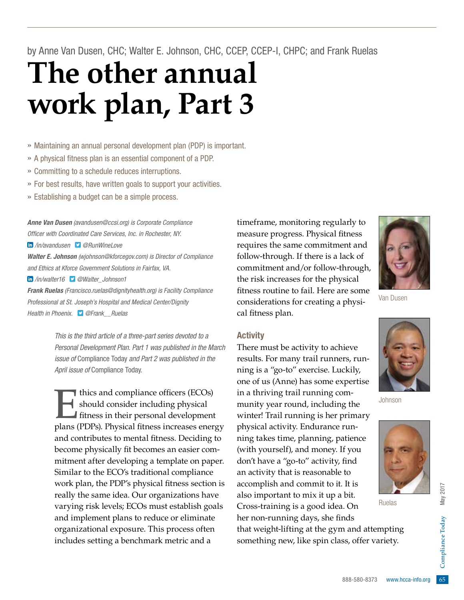by Anne Van Dusen, CHC; Walter E. Johnson, CHC, CCEP, CCEP-I, CHPC; and Frank Ruelas

# **The other annual work plan, Part 3**

» Maintaining an annual personal development plan (PDP) is important.

- » A physical fitness plan is an essential component of a PDP.
- » Committing to a schedule reduces interruptions.
- » For best results, have written goals to support your activities.
- » Establishing a budget can be a simple process.

*Anne Van Dusen (avandusen@ccsi.org) is Corporate Compliance Officer with Coordinated Care Services, Inc. in Rochester, NY.*

 */in/avandusen @RunWineLove* 

*Walter E. Johnson (wjohnson@kforcegov.com) is Director of Compliance and Ethics at Kforce Government Solutions in Fairfax, VA.*

 */in/walter16 @Walter\_Johnson1*

*Frank Ruelas (Francisco.ruelas@dignityhealth.org) is Facility Compliance Professional at St. Joseph's Hospital and Medical Center/Dignity Health in Phoenix. [@Frank\\_ \\_Ruelas](http://twitter.com/Frank__Ruelas)*

> *This is the third article of a three-part series devoted to a Personal Development Plan. Part 1 was published in the March issue of* Compliance Today *and Part 2 was published in the April issue of* Compliance Today*.*

Thics and compliance officers (ECOs)<br>should consider including physical<br>fitness in their personal development<br>plans (PDPs). Physical fitness increases energy should consider including physical fitness in their personal development plans (PDPs). Physical fitness increases energy and contributes to mental fitness. Deciding to become physically fit becomes an easier commitment after developing a template on paper. Similar to the ECO's traditional compliance work plan, the PDP's physical fitness section is really the same idea. Our organizations have varying risk levels; ECOs must establish goals and implement plans to reduce or eliminate organizational exposure. This process often includes setting a benchmark metric and a

timeframe, monitoring regularly to measure progress. Physical fitness requires the same commitment and follow-through. If there is a lack of commitment and/or follow-through, the risk increases for the physical fitness routine to fail. Here are some considerations for creating a physical fitness plan.



Van Dusen

#### Activity

There must be activity to achieve results. For many trail runners, running is a "go-to" exercise. Luckily, one of us (Anne) has some expertise in a thriving trail running community year round, including the winter! Trail running is her primary physical activity. Endurance running takes time, planning, patience (with yourself), and money. If you don't have a "go-to" activity, find an activity that is reasonable to accomplish and commit to it. It is also important to mix it up a bit. Cross-training is a good idea. On her non-running days, she finds



Johnson



Ruelas

 $88,$  offer variety. that weight-lifting at the gym and attempting something new, like spin class, offer variety.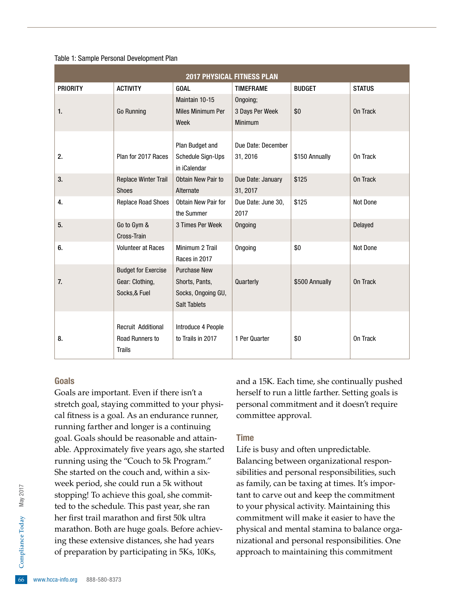#### Table 1: Sample Personal Development Plan

| <b>2017 PHYSICAL FITNESS PLAN</b> |                                                                |                                                                                    |                                |                |               |
|-----------------------------------|----------------------------------------------------------------|------------------------------------------------------------------------------------|--------------------------------|----------------|---------------|
| <b>PRIORITY</b>                   | <b>ACTIVITY</b>                                                | <b>GOAL</b>                                                                        | <b>TIMEFRAME</b>               | <b>BUDGET</b>  | <b>STATUS</b> |
|                                   |                                                                | Maintain 10-15                                                                     | Ongoing;                       |                |               |
| $\mathbf{1}$                      | <b>Go Running</b>                                              | <b>Miles Minimum Per</b>                                                           | 3 Days Per Week                | \$0            | On Track      |
|                                   |                                                                | Week                                                                               | Minimum                        |                |               |
| 2.                                | Plan for 2017 Races                                            | Plan Budget and<br>Schedule Sign-Ups<br>in iCalendar                               | Due Date: December<br>31, 2016 | \$150 Annually | On Track      |
| 3.                                | <b>Replace Winter Trail</b><br><b>Shoes</b>                    | Obtain New Pair to<br>Alternate                                                    | Due Date: January<br>31, 2017  | \$125          | On Track      |
| 4.                                | <b>Replace Road Shoes</b>                                      | Obtain New Pair for<br>the Summer                                                  | Due Date: June 30,<br>2017     | \$125          | Not Done      |
| 5.                                | Go to Gym &<br>Cross-Train                                     | 3 Times Per Week                                                                   | Ongoing                        |                | Delayed       |
| 6.                                | <b>Volunteer at Races</b>                                      | Minimum 2 Trail<br>Races in 2017                                                   | Ongoing                        | \$0            | Not Done      |
| 7.                                | <b>Budget for Exercise</b><br>Gear: Clothing,<br>Socks, & Fuel | <b>Purchase New</b><br>Shorts, Pants,<br>Socks, Ongoing GU,<br><b>Salt Tablets</b> | Quarterly                      | \$500 Annually | On Track      |
| 8.                                | <b>Recruit Additional</b><br>Road Runners to<br><b>Trails</b>  | Introduce 4 People<br>to Trails in 2017                                            | 1 Per Quarter                  | \$0            | On Track      |

#### Goals

ing these extensive distances, she had years<br>of preparation by participating in 5Ks, 10Ks,<br> $\frac{6}{66}$  www.hcca-info.org 888-580-8373 Goals are important. Even if there isn't a stretch goal, staying committed to your physical fitness is a goal. As an endurance runner, running farther and longer is a continuing goal. Goals should be reasonable and attainable. Approximately five years ago, she started running using the "Couch to 5k Program." She started on the couch and, within a sixweek period, she could run a 5k without stopping! To achieve this goal, she committed to the schedule. This past year, she ran her first trail marathon and first 50k ultra marathon. Both are huge goals. Before achievof preparation by participating in 5Ks, 10Ks,

and a 15K. Each time, she continually pushed herself to run a little farther. Setting goals is personal commitment and it doesn't require committee approval.

#### Time

Life is busy and often unpredictable. Balancing between organizational responsibilities and personal responsibilities, such as family, can be taxing at times. It's important to carve out and keep the commitment to your physical activity. Maintaining this commitment will make it easier to have the physical and mental stamina to balance organizational and personal responsibilities. One approach to maintaining this commitment